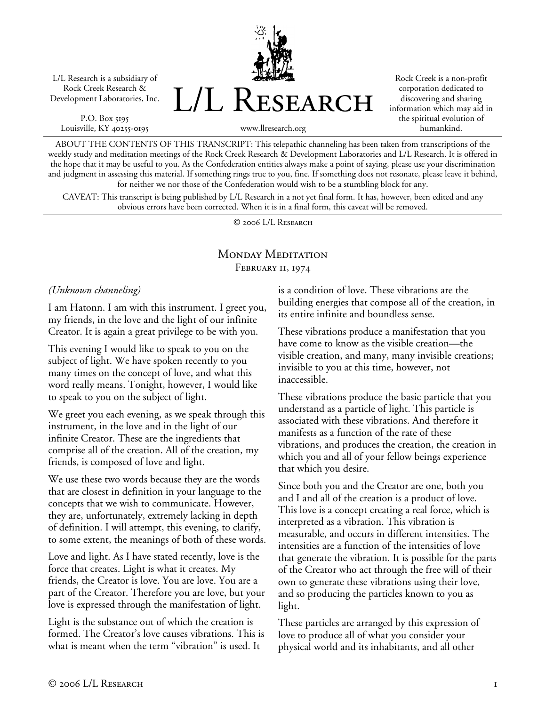L/L Research is a subsidiary of Rock Creek Research & Development Laboratories, Inc.

P.O. Box 5195 Louisville, KY 40255-0195 L/L Research

Rock Creek is a non-profit corporation dedicated to discovering and sharing information which may aid in the spiritual evolution of humankind.

www.llresearch.org

ABOUT THE CONTENTS OF THIS TRANSCRIPT: This telepathic channeling has been taken from transcriptions of the weekly study and meditation meetings of the Rock Creek Research & Development Laboratories and L/L Research. It is offered in the hope that it may be useful to you. As the Confederation entities always make a point of saying, please use your discrimination and judgment in assessing this material. If something rings true to you, fine. If something does not resonate, please leave it behind, for neither we nor those of the Confederation would wish to be a stumbling block for any.

CAVEAT: This transcript is being published by L/L Research in a not yet final form. It has, however, been edited and any obvious errors have been corrected. When it is in a final form, this caveat will be removed.

© 2006 L/L Research

## MONDAY MEDITATION FEBRUARY II, 1974

*(Unknown channeling)* 

I am Hatonn. I am with this instrument. I greet you, my friends, in the love and the light of our infinite Creator. It is again a great privilege to be with you.

This evening I would like to speak to you on the subject of light. We have spoken recently to you many times on the concept of love, and what this word really means. Tonight, however, I would like to speak to you on the subject of light.

We greet you each evening, as we speak through this instrument, in the love and in the light of our infinite Creator. These are the ingredients that comprise all of the creation. All of the creation, my friends, is composed of love and light.

We use these two words because they are the words that are closest in definition in your language to the concepts that we wish to communicate. However, they are, unfortunately, extremely lacking in depth of definition. I will attempt, this evening, to clarify, to some extent, the meanings of both of these words.

Love and light. As I have stated recently, love is the force that creates. Light is what it creates. My friends, the Creator is love. You are love. You are a part of the Creator. Therefore you are love, but your love is expressed through the manifestation of light.

Light is the substance out of which the creation is formed. The Creator's love causes vibrations. This is what is meant when the term "vibration" is used. It

is a condition of love. These vibrations are the building energies that compose all of the creation, in its entire infinite and boundless sense.

These vibrations produce a manifestation that you have come to know as the visible creation—the visible creation, and many, many invisible creations; invisible to you at this time, however, not inaccessible.

These vibrations produce the basic particle that you understand as a particle of light. This particle is associated with these vibrations. And therefore it manifests as a function of the rate of these vibrations, and produces the creation, the creation in which you and all of your fellow beings experience that which you desire.

Since both you and the Creator are one, both you and I and all of the creation is a product of love. This love is a concept creating a real force, which is interpreted as a vibration. This vibration is measurable, and occurs in different intensities. The intensities are a function of the intensities of love that generate the vibration. It is possible for the parts of the Creator who act through the free will of their own to generate these vibrations using their love, and so producing the particles known to you as light.

These particles are arranged by this expression of love to produce all of what you consider your physical world and its inhabitants, and all other